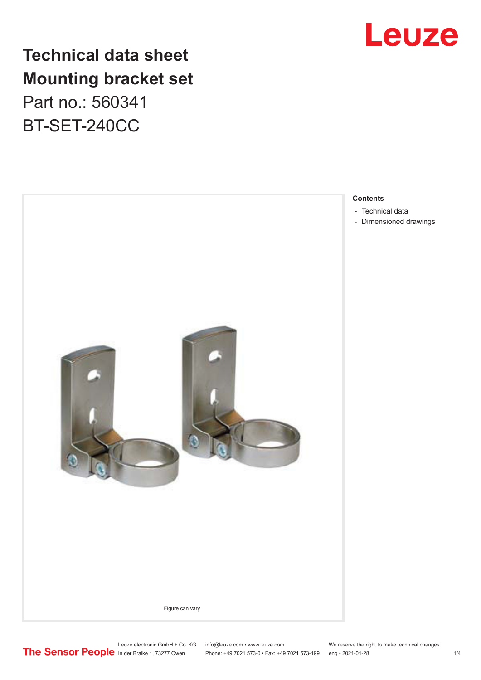

## **Technical data sheet Mounting bracket set**

Part no.: 560341 BT-SET-240CC



**Contents**

- [Technical data](#page-1-0)
- [Dimensioned drawings](#page-2-0)

Leuze electronic GmbH + Co. KG info@leuze.com • www.leuze.com We reserve the right to make technical changes<br>
The Sensor People in der Braike 1, 73277 Owen Phone: +49 7021 573-0 • Fax: +49 7021 573-199 eng • 2021-01-28

Phone: +49 7021 573-0 • Fax: +49 7021 573-199 eng • 2021-01-28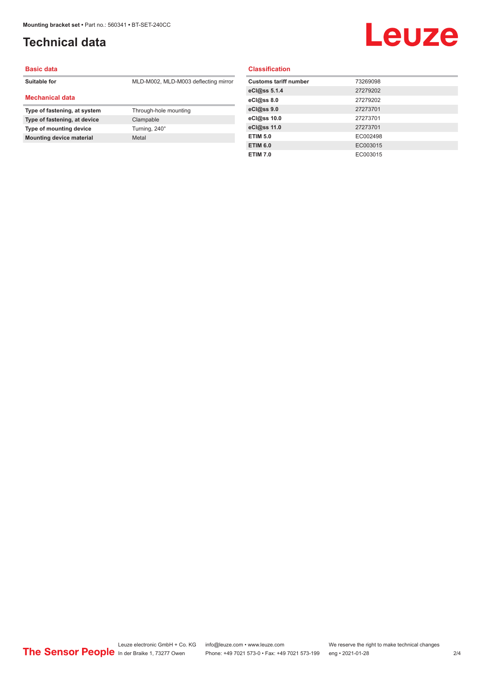## <span id="page-1-0"></span>**Technical data**

## **Leuze**

#### **Basic data**

**Suitable for** MLD-M002, MLD-M003 deflecting mirror

#### **Mechanical data**

| Type of fastening, at system    | Through-hole mounting |
|---------------------------------|-----------------------|
| Type of fastening, at device    | Clampable             |
| Type of mounting device         | Turning, 240°         |
| <b>Mounting device material</b> | Metal                 |

#### **Classification**

| <b>Customs tariff number</b> | 73269098 |
|------------------------------|----------|
| eCl@ss 5.1.4                 | 27279202 |
| eCl@ss 8.0                   | 27279202 |
| eCl@ss 9.0                   | 27273701 |
| eCl@ss 10.0                  | 27273701 |
| eCl@ss 11.0                  | 27273701 |
| <b>ETIM 5.0</b>              | EC002498 |
| <b>ETIM 6.0</b>              | EC003015 |
| <b>ETIM 7.0</b>              | EC003015 |
|                              |          |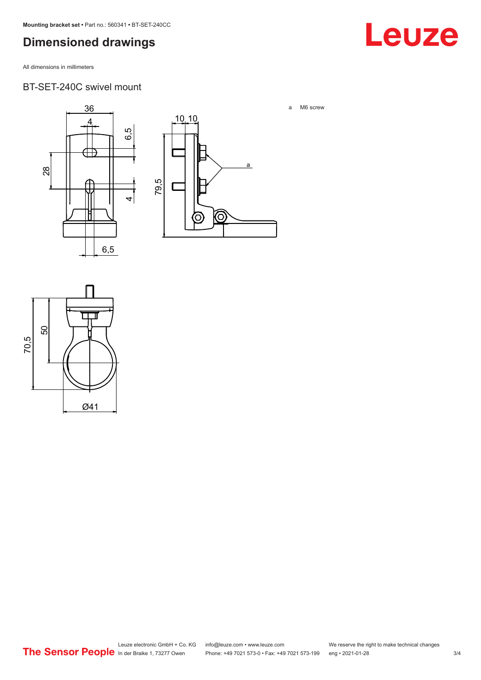## <span id="page-2-0"></span>**Dimensioned drawings**

All dimensions in millimeters

#### BT-SET-240C swivel mount





a M6 screw

Leuze